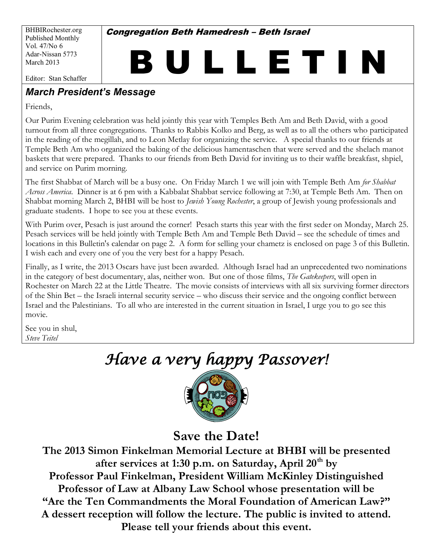BHBIRochester.org Published Monthly Vol. 47/No 6 Adar-Nissan 5773 March 2013

**Congregation Beth Hamedresh - Beth Israel** 

# B U L L E T I N

Editor: Stan Schaffer

# **March President's Message**

Friends,

Our Purim Evening celebration was held jointly this year with Temples Beth Am and Beth David, with a good turnout from all three congregations. Thanks to Rabbis Kolko and Berg, as well as to all the others who participated in the reading of the megillah, and to Leon Metlay for organizing the service. A special thanks to our friends at Temple Beth Am who organized the baking of the delicious hamentaschen that were served and the shelach manot baskets that were prepared. Thanks to our friends from Beth David for inviting us to their waffle breakfast, shpiel, and service on Purim morning.

The first Shabbat of March will be a busy one. On Friday March 1 we will join with Temple Beth Am *for Shabbat Across America*. Dinner is at 6 pm with a Kabbalat Shabbat service following at 7:30, at Temple Beth Am. Then on Shabbat morning March 2, BHBI will be host to *Jewish Young Rochester*, a group of Jewish young professionals and graduate students. I hope to see you at these events.

With Purim over, Pesach is just around the corner! Pesach starts this year with the first seder on Monday, March 25. Pesach services will be held jointly with Temple Beth Am and Temple Beth David – see the schedule of times and locations in this Bulletin's calendar on page 2. A form for selling your chametz is enclosed on page 3 of this Bulletin. I wish each and every one of you the very best for a happy Pesach.

Finally, as I write, the 2013 Oscars have just been awarded. Although Israel had an unprecedented two nominations in the category of best documentary, alas, neither won. But one of those films, *The Gatekeepers*, will open in Rochester on March 22 at the Little Theatre. The movie consists of interviews with all six surviving former directors of the Shin Bet – the Israeli internal security service – who discuss their service and the ongoing conflict between Israel and the Palestinians. To all who are interested in the current situation in Israel, I urge you to go see this movie.

See you in shul, *Steve Teitel* Ï

# *Have a very happy Passover!*



**Save the Date!**

**The 2013 Simon Finkelman Memorial Lecture at BHBI will be presented after services at 1:30 p.m. on Saturday, April 20th by Professor Paul Finkelman, President William McKinley Distinguished Professor of Law at Albany Law School whose presentation will be**  "Are the Ten Commandments the Moral Foundation of American Law?" **A dessert reception will follow the lecture. The public is invited to attend. Please tell your friends about this event.**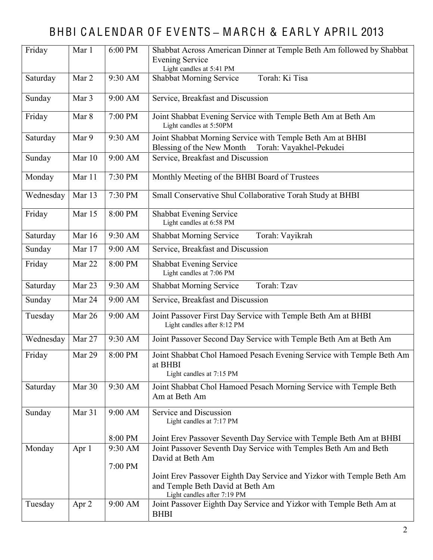# BHBI CALENDAR OF EVENTS - MARCH & EARLY APRIL 2013

| Friday    | Mar 1  | 6:00 PM   | Shabbat Across American Dinner at Temple Beth Am followed by Shabbat<br><b>Evening Service</b><br>Light candles at 5:41 PM               |  |  |  |  |
|-----------|--------|-----------|------------------------------------------------------------------------------------------------------------------------------------------|--|--|--|--|
| Saturday  | Mar 2  | 9:30 AM   | Torah: Ki Tisa<br><b>Shabbat Morning Service</b>                                                                                         |  |  |  |  |
| Sunday    | Mar 3  | 9:00 AM   | Service, Breakfast and Discussion                                                                                                        |  |  |  |  |
| Friday    | Mar 8  | 7:00 PM   | Joint Shabbat Evening Service with Temple Beth Am at Beth Am<br>Light candles at 5:50PM                                                  |  |  |  |  |
| Saturday  | Mar 9  | 9:30 AM   | Joint Shabbat Morning Service with Temple Beth Am at BHBI<br>Torah: Vayakhel-Pekudei<br>Blessing of the New Month                        |  |  |  |  |
| Sunday    | Mar 10 | $9:00$ AM | Service, Breakfast and Discussion                                                                                                        |  |  |  |  |
| Monday    | Mar 11 | 7:30 PM   | Monthly Meeting of the BHBI Board of Trustees                                                                                            |  |  |  |  |
| Wednesday | Mar 13 | 7:30 PM   | Small Conservative Shul Collaborative Torah Study at BHBI                                                                                |  |  |  |  |
| Friday    | Mar 15 | 8:00 PM   | <b>Shabbat Evening Service</b><br>Light candles at 6:58 PM                                                                               |  |  |  |  |
| Saturday  | Mar 16 | 9:30 AM   | Torah: Vayikrah<br><b>Shabbat Morning Service</b>                                                                                        |  |  |  |  |
| Sunday    | Mar 17 | 9:00 AM   | Service, Breakfast and Discussion                                                                                                        |  |  |  |  |
| Friday    | Mar 22 | 8:00 PM   | Shabbat Evening Service<br>Light candles at 7:06 PM                                                                                      |  |  |  |  |
| Saturday  | Mar 23 | 9:30 AM   | Torah: Tzav<br><b>Shabbat Morning Service</b>                                                                                            |  |  |  |  |
| Sunday    | Mar 24 | 9:00 AM   | Service, Breakfast and Discussion                                                                                                        |  |  |  |  |
| Tuesday   | Mar 26 | 9:00 AM   | Joint Passover First Day Service with Temple Beth Am at BHBI<br>Light candles after 8:12 PM                                              |  |  |  |  |
| Wednesday | Mar 27 | 9:30 AM   | Joint Passover Second Day Service with Temple Beth Am at Beth Am                                                                         |  |  |  |  |
| Friday    | Mar 29 | 8:00 PM   | Joint Shabbat Chol Hamoed Pesach Evening Service with Temple Beth Am<br>at BHBI<br>Light candles at 7:15 PM                              |  |  |  |  |
| Saturday  | Mar 30 | 9:30 AM   | Joint Shabbat Chol Hamoed Pesach Morning Service with Temple Beth<br>Am at Beth Am                                                       |  |  |  |  |
| Sunday    | Mar 31 | 9:00 AM   | Service and Discussion<br>Light candles at 7:17 PM                                                                                       |  |  |  |  |
|           |        | 8:00 PM   | Joint Erev Passover Seventh Day Service with Temple Beth Am at BHBI                                                                      |  |  |  |  |
| Monday    | Apr 1  | 9:30 AM   | Joint Passover Seventh Day Service with Temples Beth Am and Beth                                                                         |  |  |  |  |
|           |        | 7:00 PM   | David at Beth Am                                                                                                                         |  |  |  |  |
|           |        |           | Joint Erev Passover Eighth Day Service and Yizkor with Temple Beth Am<br>and Temple Beth David at Beth Am<br>Light candles after 7:19 PM |  |  |  |  |
| Tuesday   | Apr 2  | 9:00 AM   | Joint Passover Eighth Day Service and Yizkor with Temple Beth Am at<br><b>BHBI</b>                                                       |  |  |  |  |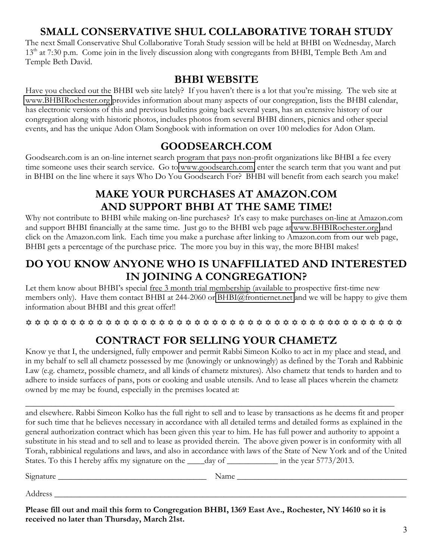# **SMALL CONSERVATIVE SHUL COLLABORATIVE TORAH STUDY**

The next Small Conservative Shul Collaborative Torah Study session will be held at BHBI on Wednesday, March 13<sup>th</sup> at 7:30 p.m. Come join in the lively discussion along with congregants from BHBI, Temple Beth Am and Temple Beth David.

#### **BHBI WEBSITE**

Have you checked out the BHBI web site lately? If you haven't there is a lot that you're missing. The web site at [www.BHBIRochester.org](http://www.bhbirochester.org/) provides information about many aspects of our congregation, lists the BHBI calendar, has electronic versions of this and previous bulletins going back several years, has an extensive history of our congregation along with historic photos, includes photos from several BHBI dinners, picnics and other special events, and has the unique Adon Olam Songbook with information on over 100 melodies for Adon Olam.

## **GOODSEARCH.COM**

Goodsearch.com is an on-line internet search program that pays non-profit organizations like BHBI a fee every time someone uses their search service. Go to [www.goodsearch.com,](http://www.goodsearch.com/) enter the search term that you want and put in BHBI on the line where it says Who Do You Goodsearch For? BHBI will benefit from each search you make!

# **MAKE YOUR PURCHASES AT AMAZON.COM AND SUPPORT BHBI AT THE SAME TIME!**

Why not contribute to BHBI while making on-line purchases? It's easy to make purchases on-line at Amazon.com and support BHBI financially at the same time. Just go to the BHBI web page at [www.BHBIRochester.org](http://www.bhbirochester.org/) and click on the Amazon.com link. Each time you make a purchase after linking to Amazon.com from our web page, BHBI gets a percentage of the purchase price. The more you buy in this way, the more BHBI makes!

# **DO YOU KNOW ANYONE WHO IS UNAFFILIATED AND INTERESTED IN JOINING A CONGREGATION?**

Let them know about BHBI's special free 3 month trial membership (available to prospective first-time new members only). Have them contact BHBI at 244-2060 or [BHBI@frontiernet.net](mailto:BHBI@frontiernet.net) and we will be happy to give them information about BHBI and this great offer!!

 $\hskip111pt$   $\hskip11pt$   $\hskip11pt$   $\hskip11pt$   $\hskip11pt$   $\hskip11pt$   $\hskip11pt$   $\hskip11pt$   $\hskip11pt$   $\hskip11pt$   $\hskip11pt$   $\hskip11pt$   $\hskip11pt$   $\hskip11pt$   $\hskip11pt$   $\hskip11pt$   $\hskip11pt$   $\hskip11pt$   $\hskip11pt$   $\hskip11pt$   $\hskip11pt$   $\hskip11pt$   $\hskip11pt$   $\hskip11pt$   $\hskip$ 

# **CONTRACT FOR SELLING YOUR CHAMETZ**

Know ye that I, the undersigned, fully empower and permit Rabbi Simeon Kolko to act in my place and stead, and in my behalf to sell all chametz possessed by me (knowingly or unknowingly) as defined by the Torah and Rabbinic Law (e.g. chametz, possible chametz, and all kinds of chametz mixtures). Also chametz that tends to harden and to adhere to inside surfaces of pans, pots or cooking and usable utensils. And to lease all places wherein the chametz owned by me may be found, especially in the premises located at:

\_\_\_\_\_\_\_\_\_\_\_\_\_\_\_\_\_\_\_\_\_\_\_\_\_\_\_\_\_\_\_\_\_\_\_\_\_\_\_\_\_\_\_\_\_\_\_\_\_\_\_\_\_\_\_\_\_\_\_\_\_\_\_\_\_\_\_\_\_\_\_\_\_\_\_\_\_\_\_\_\_\_\_\_\_\_\_ and elsewhere. Rabbi Simeon Kolko has the full right to sell and to lease by transactions as he deems fit and proper for such time that he believes necessary in accordance with all detailed terms and detailed forms as explained in the general authorization contract which has been given this year to him. He has full power and authority to appoint a substitute in his stead and to sell and to lease as provided therein. The above given power is in conformity with all Torah, rabbinical regulations and laws, and also in accordance with laws of the State of New York and of the United States. To this I hereby affix my signature on the <u>case day of containing</u> in the year 5773/2013.

Signature \_\_\_\_\_\_\_\_\_\_\_\_\_\_\_\_\_\_\_\_\_\_\_\_\_\_\_\_\_\_\_\_\_\_\_ Name \_\_\_\_\_\_\_\_\_\_\_\_\_\_\_\_\_\_\_\_\_\_\_\_\_\_\_\_\_\_\_\_\_\_\_\_\_\_\_\_

Address \_\_\_\_\_\_\_\_\_\_\_\_\_\_\_\_\_\_\_\_\_\_\_\_\_\_\_\_\_\_\_\_\_\_\_\_\_\_\_\_\_\_\_\_\_\_\_\_\_\_\_\_\_\_\_\_\_\_\_\_\_\_\_\_\_\_\_\_\_\_\_\_\_\_\_\_\_\_\_\_\_\_\_

**Please fill out and mail this form to Congregation BHBI, 1369 East Ave., Rochester, NY 14610 so it is received no later than Thursday, March 21st.**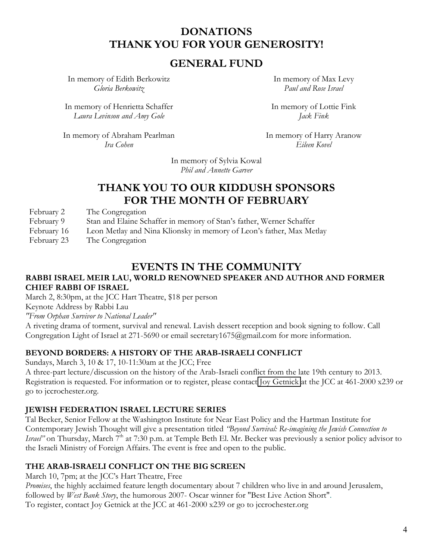## **DONATIONS THANK YOU FOR YOUR GENEROSITY!**

#### **GENERAL FUND**

In memory of Edith Berkowitz *Gloria Berkowitz*

In memory of Henrietta Schaffer *Laura Levinson and Amy Gole*

In memory of Max Levy *Paul and Rose Israel*

In memory of Lottie Fink *Jack Fink*

In memory of Abraham Pearlman *Ira Cohen*

In memory of Harry Aranow *Eileen Kovel*

In memory of Sylvia Kowal *Phil and Annette Garver*

#### **THANK YOU TO OUR KIDDUSH SPONSORS FOR THE MONTH OF FEBRUARY**

February 2 The Congregation

February 9 6 8tan and Elaine Schaffer in memory of Stan's father, Werner Schaffer

February 16 Leon Metlay and Nina Klionsky in memory of Leon's father, Max Metlay

February 23 The Congregation

# **EVENTS IN THE COMMUNITY**

#### **RABBI ISRAEL MEIR LAU, WORLD RENOWNED SPEAKER AND AUTHOR AND FORMER CHIEF RABBI OF ISRAEL**

March 2, 8:30pm, at the JCC Hart Theatre, \$18 per person

Keynote Address by Rabbi Lau

*"From Orphan Survivor to National Leader"*

A riveting drama of torment, survival and renewal. Lavish dessert reception and book signing to follow. Call Congregation Light of Israel at 271-5690 or email secretary1675@gmail.com for more information.

#### **BEYOND BORDERS: A HISTORY OF THE ARAB-ISRAELI CONFLICT**

Sundays, March 3, 10 & 17, 10-11:30am at the JCC; Free

A three-part lecture/discussion on the history of the Arab-Israeli conflict from the late 19th century to 2013. Registration is requested. For information or to register, please contact Joy [Getnick](http://r20.rs6.net/tn.jsp?e=001W82lfPC1-n53w6A8EcjZsqZ8rL5xJYrlE_NIZM0YXm2ysyBC3hHfai3guBKWRBmC2FpIan_cr-J7nTd6MYK0lT4DulAG1N50mwVnRsQ2CEbXDfHbHxb5K7-kxyWKu24eiMGhVukEkchWSj2eaAYY53cgvKT_chU_0OdbS0DbXV8zrGvlvaPt7K9sTO4SUwuz) at the JCC at 461-2000 x239 or go to jccrochester.org.

#### **JEWISH FEDERATION ISRAEL LECTURE SERIES**

Tal Becker, Senior Fellow at the Washington Institute for Near East Policy and the Hartman Institute for Contemporary Jewish Thought will give a presentation titled *'Beyond Survival: Re-imagining the Jewish Connection to Israel*" on Thursday, March 7<sup>th</sup> at 7:30 p.m. at Temple Beth El. Mr. Becker was previously a senior policy advisor to the Israeli Ministry of Foreign Affairs. The event is free and open to the public.

#### **THE ARAB-ISRAELI CONFLICT ON THE BIG SCREEN**

March 10, 7pm; at the JCC's Hart Theatre, Free

*Promises*, the highly acclaimed feature length documentary about 7 children who live in and around Jerusalem, followed by *West Bank Story*, the humorous 2007- Oscar winner for "Best Live Action Short". To register, contact Joy Getnick at the JCC at 461-2000 x239 or go to jccrochester.org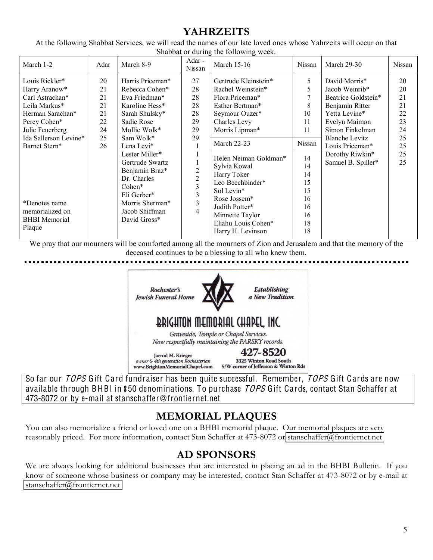# **YAHRZEITS**

At the following Shabbat Services, we will read the names of our late loved ones whose Yahrzeits will occur on that Shabbat or during the following week.

| March 1-2<br>Adar                                                                                                                                                                                                                                                                                | March 8-9                                                                                                                                                                                                                                                                                              | Adar -<br>Nissan                                                                        | March 15-16                                                                                                                                                                                                                                                                                                                                          | Nissan                                                                                              | <b>March 29-30</b>                                                                                                                                                                                                  | Nissan                                                         |
|--------------------------------------------------------------------------------------------------------------------------------------------------------------------------------------------------------------------------------------------------------------------------------------------------|--------------------------------------------------------------------------------------------------------------------------------------------------------------------------------------------------------------------------------------------------------------------------------------------------------|-----------------------------------------------------------------------------------------|------------------------------------------------------------------------------------------------------------------------------------------------------------------------------------------------------------------------------------------------------------------------------------------------------------------------------------------------------|-----------------------------------------------------------------------------------------------------|---------------------------------------------------------------------------------------------------------------------------------------------------------------------------------------------------------------------|----------------------------------------------------------------|
| Louis Rickler*<br>20<br>21<br>Harry Aranow*<br>Carl Astrachan*<br>21<br>21<br>Leila Markus*<br>21<br>Herman Sarachan*<br>22<br>Percy Cohen*<br>24<br>Julie Feuerberg<br>25<br>Ida Sallerson Levine*<br>Barnet Stern*<br>26<br>*Denotes name<br>memorialized on<br><b>BHBI</b> Memorial<br>Plaque | Harris Priceman*<br>Rebecca Cohen*<br>Eva Friedman*<br>Karoline Hess*<br>Sarah Shulsky*<br>Sadie Rose<br>Mollie Wolk*<br>Sam Wolk*<br>Lena Levi*<br>Lester Miller*<br>Gertrude Swartz<br>Benjamin Braz*<br>Dr. Charles<br>$Cohen*$<br>Eli Gerber*<br>Morris Sherman*<br>Jacob Shiffman<br>David Gross* | 27<br>28<br>28<br>28<br>28<br>29<br>29<br>29<br>2<br>$\overline{2}$<br>3<br>3<br>3<br>4 | Gertrude Kleinstein*<br>Rachel Weinstein*<br>Flora Priceman*<br>Esther Bertman*<br>Seymour Ouzer*<br>Charles Levy<br>Morris Lipman*<br><b>March 22-23</b><br>Helen Neiman Goldman*<br>Sylvia Kowal<br>Harry Toker<br>Leo Beechbinder*<br>Sol Levin*<br>Rose Jossem*<br>Judith Potter*<br>Minnette Taylor<br>Eliahu Louis Cohen*<br>Harry H. Levinson | 5<br>5<br>8<br>10<br>11<br>11<br>Nissan<br>14<br>14<br>14<br>15<br>15<br>16<br>16<br>16<br>18<br>18 | David Morris*<br>Jacob Weinrib*<br>Beatrice Goldstein*<br>Benjamin Ritter<br>Yetta Levine*<br>Evelyn Maimon<br>Simon Finkelman<br><b>Blanche Levitz</b><br>Louis Priceman*<br>Dorothy Riwkin*<br>Samuel B. Spiller* | 20<br>20<br>21<br>21<br>22<br>23<br>24<br>25<br>25<br>25<br>25 |

We pray that our mourners will be comforted among all the mourners of Zion and Jerusalem and that the memory of the deceased continues to be a blessing to all who knew them.



So far our TOPS Gift Card fundraiser has been quite successful. Remember, TOPS Gift Cards are now available through BHBI in \$50 denominations. To purchase *TOPS* Gift Cards, contact Stan Schaffer at 473-8072 or by e-mail at stanschaffer@frontiernet.net

# **MEMORIAL PLAQUES**

You can also memorialize a friend or loved one on a BHBI memorial plaque. Our memorial plaques are very reasonably priced. For more information, contact Stan Schaffer at 473-8072 or [stanschaffer@frontiernet.net](mailto:stanschaffer@frontiernet.net)

# **AD SPONSORS**

We are always looking for additional businesses that are interested in placing an ad in the BHBI Bulletin. If you know of someone whose business or company may be interested, contact Stan Schaffer at 473-8072 or by e-mail at [stanschaffer@frontiernet.net](mailto:stanschaffer@frontiernet.net)